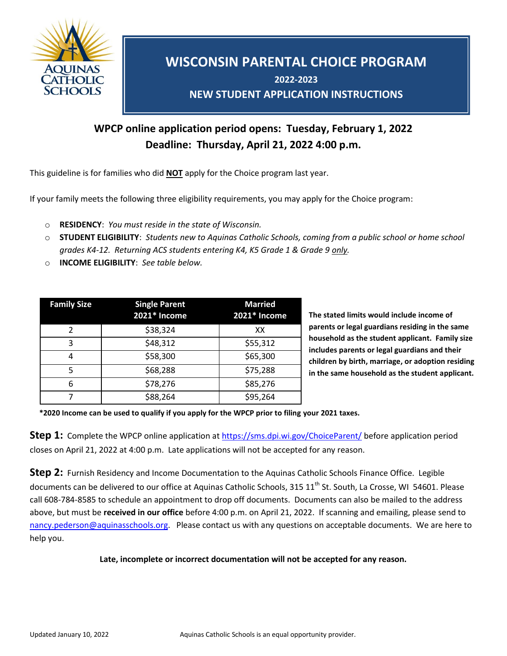

# **WISCONSIN PARENTAL CHOICE PROGRAM 2022-2023 NEW STUDENT APPLICATION INSTRUCTIONS**

# **WPCP online application period opens: Tuesday, February 1, 2022 Deadline: Thursday, April 21, 2022 4:00 p.m.**

This guideline is for families who did **NOT** apply for the Choice program last year.

If your family meets the following three eligibility requirements, you may apply for the Choice program:

- o **RESIDENCY**: *You must reside in the state of Wisconsin.*
- o **STUDENT ELIGIBILITY**: *Students new to Aquinas Catholic Schools, coming from a public school or home school grades K4-12. Returning ACS students entering K4, K5 Grade 1 & Grade 9 only.*
- o **INCOME ELIGIBILITY**: *See table below.*

| <b>Family Size</b> | <b>Single Parent</b><br>2021* Income | <b>Married</b><br>2021* Income |
|--------------------|--------------------------------------|--------------------------------|
| 2                  | \$38,324                             | ХX                             |
| 3                  | \$48,312                             | \$55,312                       |
|                    | \$58,300                             | \$65,300                       |
| 5                  | \$68,288                             | \$75,288                       |
| 6                  | \$78,276                             | \$85,276                       |
|                    | \$88,264                             | \$95,264                       |

**The stated limits would include income of parents or legal guardians residing in the same household as the student applicant. Family size includes parents or legal guardians and their children by birth, marriage, or adoption residing in the same household as the student applicant.**

 **\*2020 Income can be used to qualify if you apply for the WPCP prior to filing your 2021 taxes.**

**Step 1:** Complete the WPCP online application at<https://sms.dpi.wi.gov/ChoiceParent/> before application period closes on April 21, 2022 at 4:00 p.m. Late applications will not be accepted for any reason.

**Step 2:** Furnish Residency and Income Documentation to the Aquinas Catholic Schools Finance Office. Legible documents can be delivered to our office at Aquinas Catholic Schools, 315 11<sup>th</sup> St. South, La Crosse, WI 54601. Please call 608-784-8585 to schedule an appointment to drop off documents. Documents can also be mailed to the address above, but must be **received in our office** before 4:00 p.m. on April 21, 2022. If scanning and emailing, please send to [nancy.pederson@aquinasschools.org.](mailto:nancy.pederson@aquinasschools.org) Please contact us with any questions on acceptable documents. We are here to help you.

#### **Late, incomplete or incorrect documentation will not be accepted for any reason.**